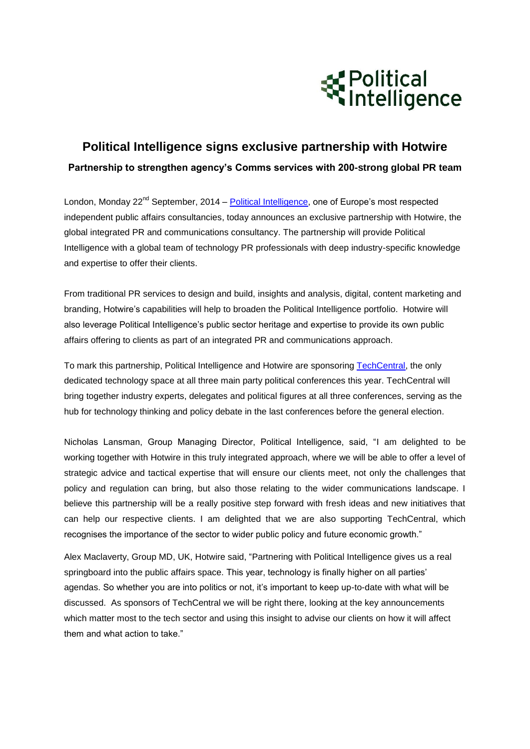

## **Political Intelligence signs exclusive partnership with Hotwire Partnership to strengthen agency's Comms services with 200-strong global PR team**

London, Mondav 22<sup>nd</sup> September, 2014 – [Political Intelligence,](http://www.political-intelligence.com/) one of Europe's most respected independent public affairs consultancies, today announces an exclusive partnership with [Hotwire,](http://www.hotwirepr.co.uk/) the global integrated PR and communications consultancy. The partnership will provide Political Intelligence with a global team of technology PR professionals with deep industry-specific knowledge and expertise to offer their clients.

From traditional PR services to design and build, insights and analysis, digital, content marketing and branding, Hotwire's capabilities will help to broaden the Political Intelligence portfolio. Hotwire will also leverage Political Intelligence's public sector heritage and expertise to provide its own public affairs offering to clients as part of an integrated PR and communications approach.

To mark this partnership, Political Intelligence and Hotwire are sponsoring [TechCentral,](http://techcentral.org.uk/) the only dedicated technology space at all three main party political conferences this year. TechCentral will bring together industry experts, delegates and political figures at all three conferences, serving as the hub for technology thinking and policy debate in the last conferences before the general election.

Nicholas Lansman, Group Managing Director, Political Intelligence, said, "I am delighted to be working together with Hotwire in this truly integrated approach, where we will be able to offer a level of strategic advice and tactical expertise that will ensure our clients meet, not only the challenges that policy and regulation can bring, but also those relating to the wider communications landscape. I believe this partnership will be a really positive step forward with fresh ideas and new initiatives that can help our respective clients. I am delighted that we are also supporting TechCentral, which recognises the importance of the sector to wider public policy and future economic growth."

Alex Maclaverty, Group MD, UK, Hotwire said, "Partnering with Political Intelligence gives us a real springboard into the public affairs space. This year, technology is finally higher on all parties' agendas. So whether you are into politics or not, it's important to keep up-to-date with what will be discussed. As sponsors of TechCentral we will be right there, looking at the key announcements which matter most to the tech sector and using this insight to advise our clients on how it will affect them and what action to take."